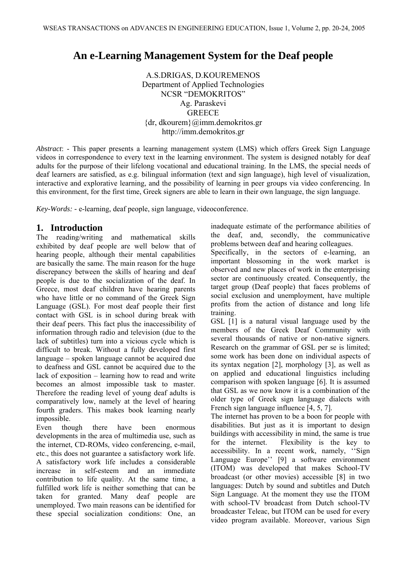# **An e-Learning Management System for the Deaf people**

A.S.DRIGAS, D.KOUREMENOS Department of Applied Technologies NCSR "DEMOKRITOS" Ag. Paraskevi GREECE {dr, dkourem}@imm.demokritos.gr http://imm.demokritos.gr

*Abstract*: - This paper presents a learning management system (LMS) which offers Greek Sign Language videos in correspondence to every text in the learning environment. The system is designed notably for deaf adults for the purpose of their lifelong vocational and educational training. In the LMS, the special needs of deaf learners are satisfied, as e.g. bilingual information (text and sign language), high level of visualization, interactive and explorative learning, and the possibility of learning in peer groups via video conferencing. In this environment, for the first time, Greek signers are able to learn in their own language, the sign language.

*Key-Words: -* e-learning, deaf people, sign language, videoconference.

## **1. Introduction**

The reading/writing and mathematical skills exhibited by deaf people are well below that of hearing people, although their mental capabilities are basically the same. The main reason for the huge discrepancy between the skills of hearing and deaf people is due to the socialization of the deaf. In Greece, most deaf children have hearing parents who have little or no command of the Greek Sign Language (GSL). For most deaf people their first contact with GSL is in school during break with their deaf peers. This fact plus the inaccessibility of information through radio and television (due to the lack of subtitles) turn into a vicious cycle which is difficult to break. Without a fully developed first language – spoken language cannot be acquired due to deafness and GSL cannot be acquired due to the lack of exposition – learning how to read and write becomes an almost impossible task to master. Therefore the reading level of young deaf adults is comparatively low, namely at the level of hearing fourth graders. This makes book learning nearly impossible.

Even though there have been enormous developments in the area of multimedia use, such as the internet, CD-ROMs, video conferencing, e-mail, etc., this does not guarantee a satisfactory work life. A satisfactory work life includes a considerable increase in self-esteem and an immediate contribution to life quality. At the same time, a fulfilled work life is neither something that can be taken for granted. Many deaf people are unemployed. Two main reasons can be identified for these special socialization conditions: One, an inadequate estimate of the performance abilities of the deaf, and, secondly, the communicative problems between deaf and hearing colleagues.

Specifically, in the sectors of e-learning, an important blossoming in the work market is observed and new places of work in the enterprising sector are continuously created. Consequently, the target group (Deaf people) that faces problems of social exclusion and unemployment, have multiple profits from the action of distance and long life training.

GSL [1] is a natural visual language used by the members of the Greek Deaf Community with several thousands of native or non-native signers. Research on the grammar of GSL per se is limited; some work has been done on individual aspects of its syntax negation [2], morphology [3], as well as on applied and educational linguistics including comparison with spoken language [6]. It is assumed that GSL as we now know it is a combination of the older type of Greek sign language dialects with French sign language influence [4, 5, 7].

The internet has proven to be a boon for people with disabilities. But just as it is important to design buildings with accessibility in mind, the same is true for the internet. Flexibility is the key to accessibility. In a recent work, namely, ''Sign Language Europe'' [9] a software environment (ITOM) was developed that makes School-TV broadcast (or other movies) accessible [8] in two languages: Dutch by sound and subtitles and Dutch Sign Language. At the moment they use the ITOM with school-TV broadcast from Dutch school-TV broadcaster Teleac, but ITOM can be used for every video program available. Moreover, various Sign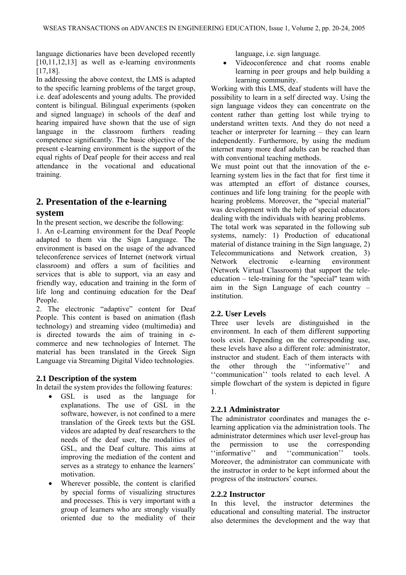language dictionaries have been developed recently [10,11,12,13] as well as e-learning environments [17,18].

In addressing the above context, the LMS is adapted to the specific learning problems of the target group, i.e. deaf adolescents and young adults. The provided content is bilingual. Bilingual experiments (spoken and signed language) in schools of the deaf and hearing impaired have shown that the use of sign language in the classroom furthers reading competence significantly. The basic objective of the present e-learning environment is the support of the equal rights of Deaf people for their access and real attendance in the vocational and educational training.

# **2. Presentation of the e-learning**

#### **system**

In the present section, we describe the following:

1. An e-Learning environment for the Deaf People adapted to them via the Sign Language. The environment is based on the usage of the advanced teleconference services of Internet (network virtual classroom) and offers a sum of facilities and services that is able to support, via an easy and friendly way, education and training in the form of life long and continuing education for the Deaf People.

2. Τhe electronic "adaptive" content for Deaf People. This content is based on animation (flash technology) and streaming video (multimedia) and is directed towards the aim of training in ecommerce and new technologies of Internet. The material has been translated in the Greek Sign Language via Streaming Digital Video technologies.

### **2.1 Description of the system**

In detail the system provides the following features:

- GSL is used as the language for explanations. The use of GSL in the software, however, is not confined to a mere translation of the Greek texts but the GSL videos are adapted by deaf researchers to the needs of the deaf user, the modalities of GSL, and the Deaf culture. This aims at improving the mediation of the content and serves as a strategy to enhance the learners' motivation.
- Wherever possible, the content is clarified by special forms of visualizing structures and processes. This is very important with a group of learners who are strongly visually oriented due to the mediality of their

language, i.e. sign language.

• Videoconference and chat rooms enable learning in peer groups and help building a learning community.

Working with this LMS, deaf students will have the possibility to learn in a self directed way. Using the sign language videos they can concentrate on the content rather than getting lost while trying to understand written texts. And they do not need a teacher or interpreter for learning – they can learn independently. Furthermore, by using the medium internet many more deaf adults can be reached than with conventional teaching methods.

We must point out that the innovation of the elearning system lies in the fact that for first time it was attempted an effort of distance courses, continues and life long training for the people with hearing problems. Moreover, the "special material" was development with the help of special educators dealing with the individuals with hearing problems.

The total work was separated in the following sub systems, namely: 1) Production of educational material of distance training in the Sign language, 2) Telecommunications and Network creation, 3) Network electronic e-learning environment (Network Virtual Classroom) that support the teleeducation – tele-training for the "special" team with aim in the Sign Language of each country – institution.

#### **2.2. User Levels**

Three user levels are distinguished in the environment. In each of them different supporting tools exist. Depending on the corresponding use, these levels have also a different role: administrator, instructor and student. Each of them interacts with the other through the ''informative'' and ''communication'' tools related to each level. A simple flowchart of the system is depicted in figure 1.

### **2.2.1 Administrator**

The administrator coordinates and manages the elearning application via the administration tools. The administrator determines which user level-group has the permission to use the corresponding ''informative'' and ''communication'' tools. Moreover, the administrator can communicate with the instructor in order to be kept informed about the progress of the instructors' courses.

#### **2.2.2 Instructor**

In this level, the instructor determines the educational and consulting material. The instructor also determines the development and the way that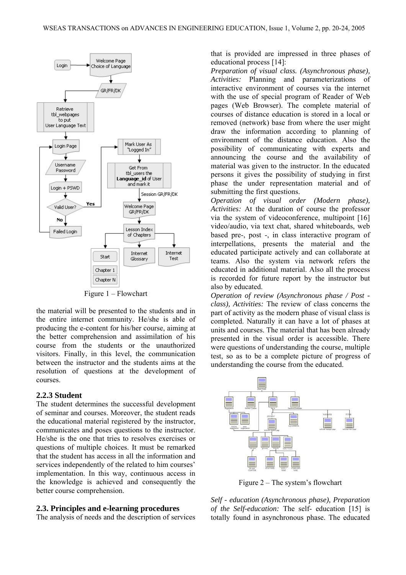

Figure 1 – Flowchart

the material will be presented to the students and in the entire internet community. He/she is able of producing the e-content for his/her course, aiming at the better comprehension and assimilation of his course from the students or the unauthorized visitors. Finally, in this level, the communication between the instructor and the students aims at the resolution of questions at the development of courses.

#### **2.2.3 Student**

The student determines the successful development of seminar and courses. Moreover, the student reads the educational material registered by the instructor, communicates and poses questions to the instructor. He/she is the one that tries to resolves exercises or questions of multiple choices. It must be remarked that the student has access in all the information and services independently of the related to him courses' implementation. In this way, continuous access in the knowledge is achieved and consequently the better course comprehension.

#### **2.3. Principles and e-learning procedures**

The analysis of needs and the description of services

that is provided are impressed in three phases of educational process [14]:

*Preparation of visual class. (Asynchronous phase), Activities:* Planning and parameterizations of interactive environment of courses via the internet with the use of special program of Reader of Web pages (Web Browser). The complete material of courses of distance education is stored in a local or removed (network) base from where the user might draw the information according to planning of environment of the distance education. Also the possibility of communicating with experts and announcing the course and the availability of material was given to the instructor. In the educated persons it gives the possibility of studying in first phase the under representation material and of submitting the first questions.

*Operation of visual order (Modern phase), Activities:* At the duration of course the professor via the system of videoconference, multipoint [16] video/audio, via text chat, shared whiteboards, web based pre-, post -, in class interactive program of interpellations, presents the material and the educated participate actively and can collaborate at teams. Also the system via network refers the educated in additional material. Also all the process is recorded for future report by the instructor but also by educated.

*Operation of review (Asynchronous phase / Post class), Activities:* The review of class concerns the part of activity as the modern phase of visual class is completed. Naturally it can have a lot of phases at units and courses. The material that has been already presented in the visual order is accessible. There were questions of understanding the course, multiple test, so as to be a complete picture of progress of understanding the course from the educated.



Figure 2 – The system's flowchart

*Self - education (Asynchronous phase), Preparation of the Self-education:* The self- education [15] is totally found in asynchronous phase. The educated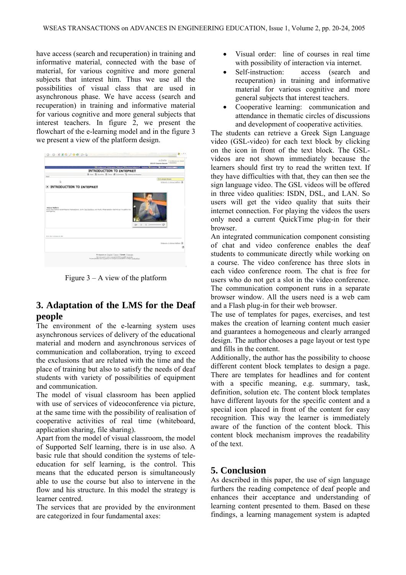have access (search and recuperation) in training and informative material, connected with the base of material, for various cognitive and more general subjects that interest him. Thus we use all the possibilities of visual class that are used in asynchronous phase. We have access (search and recuperation) in training and informative material for various cognitive and more general subjects that interest teachers. In figure 2, we present the flowchart of the e-learning model and in the figure 3 we present a view of the platform design.

| 0.088899988                                                                                                                                                    | 2.11                                                                            |
|----------------------------------------------------------------------------------------------------------------------------------------------------------------|---------------------------------------------------------------------------------|
|                                                                                                                                                                | <b>KIDSON</b> ENVIRONMENTAL<br><b>DOLFE Course dorver</b> <sup>1</sup> doubling |
|                                                                                                                                                                | <b>Bringwood Manuel Here (Disclose March)</b> - Antony Wingson   Begins         |
|                                                                                                                                                                | INTRODUCTION TO INTEPNET                                                        |
| <b>Tiere</b>                                                                                                                                                   | S for Schools B four Schools Charmistown                                        |
|                                                                                                                                                                | <b>61 months</b>                                                                |
| b.                                                                                                                                                             | <b>Entwick L. Mood Million DR</b>                                               |
| D INTRODUCTION TO INTEPNET                                                                                                                                     |                                                                                 |
|                                                                                                                                                                |                                                                                 |
| <b>Naina</b> Walkers<br>Hold shop water-sympathizated Highlands, dolls Dail Socialize and Hold Mingmanation Particular To addition for<br><b>DATITION TAX.</b> |                                                                                 |
| <b>STEVART GENERAL BLANK</b>                                                                                                                                   |                                                                                 |
|                                                                                                                                                                | Einbergris, J. Aisland Federico 20                                              |
|                                                                                                                                                                |                                                                                 |
|                                                                                                                                                                |                                                                                 |
|                                                                                                                                                                |                                                                                 |
|                                                                                                                                                                | Freigunger im English I Gamil, I Greek, I Englisch.                             |

Figure  $3 - A$  view of the platform

# **3. Adaptation of the LMS for the Deaf people**

The environment of the e-learning system uses asynchronous services of delivery of the educational material and modern and asynchronous services of communication and collaboration, trying to exceed the exclusions that are related with the time and the place of training but also to satisfy the needs of deaf students with variety of possibilities of equipment and communication.

The model of visual classroom has been applied with use of services of videoconference via picture, at the same time with the possibility of realisation of cooperative activities of real time (whiteboard, application sharing, file sharing).

Apart from the model of visual classroom, the model of Supported Self learning, there is in use also. A basic rule that should condition the systems of teleeducation for self learning, is the control. This means that the educated person is simultaneously able to use the course but also to intervene in the flow and his structure. In this model the strategy is learner centred.

The services that are provided by the environment are categorized in four fundamental axes:

- Visual order: line of courses in real time with possibility of interaction via internet.
- Self-instruction: access (search and recuperation) in training and informative material for various cognitive and more general subjects that interest teachers.
- Cooperative learning: communication and attendance in thematic circles of discussions and development of cooperative activities.

The students can retrieve a Greek Sign Language video (GSL-video) for each text block by clicking on the icon in front of the text block. The GSLvideos are not shown immediately because the learners should first try to read the written text. If they have difficulties with that, they can then see the sign language video. The GSL videos will be offered in three video qualities: ISDN, DSL, and LAN. So users will get the video quality that suits their internet connection. For playing the videos the users only need a current QuickTime plug-in for their browser.

An integrated communication component consisting of chat and video conference enables the deaf students to communicate directly while working on a course. The video conference has three slots in each video conference room. The chat is free for users who do not get a slot in the video conference. The communication component runs in a separate browser window. All the users need is a web cam and a Flash plug-in for their web browser.

The use of templates for pages, exercises, and test makes the creation of learning content much easier and guarantees a homogeneous and clearly arranged design. The author chooses a page layout or test type and fills in the content.

Additionally, the author has the possibility to choose different content block templates to design a page. There are templates for headlines and for content with a specific meaning, e.g. summary, task, definition, solution etc. The content block templates have different layouts for the specific content and a special icon placed in front of the content for easy recognition. This way the learner is immediately aware of the function of the content block. This content block mechanism improves the readability of the text.

# **5. Conclusion**

As described in this paper, the use of sign language furthers the reading competence of deaf people and enhances their acceptance and understanding of learning content presented to them. Based on these findings, a learning management system is adapted